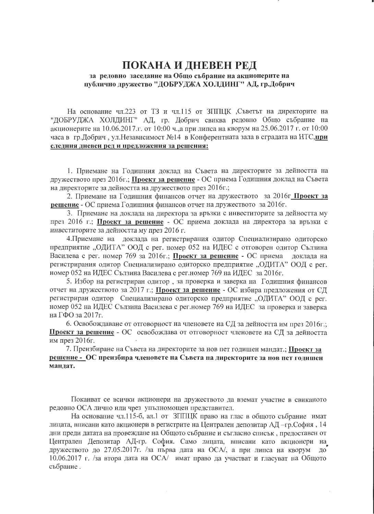## ПОКАНА И ДНЕВЕН РЕД за редовно заседание на Общо събрание на акционерите на публично дружество "ДОБРУДЖА ХОЛДИНГ" АД, гр.Добрич

На основание чл.223 от ТЗ и чл.115 от ЗППЦК Съветът на директорите на "ДОБРУДЖА ХОЛДИНГ" АД, гр. Добрич свиква редовно Общо събрание на акционерите на 10.06.2017.г. от 10:00 ч., а при липса на кворум на 25.06.2017 г. от 10:00 часа в гр. Добрич, ул. Независимост №14 в Конферентната зала в сградата на НТС, при следния дневен ред и предложения за решения:

1. Приемане на Годишния доклад на Съвета на директорите за дейността на дружеството през 2016г.; Проект за решение - ОС приема Годишния доклад на Съвета на директорите за дейността на дружеството през 2016г.;

2. Приемане на Годишния финансов отчет на дружеството за 2016г Проект за решение - ОС приема Годишния финансов отчет на дружеството за 2016г.

3. Приемане на доклада на директора за връзки с инвеститорите за дейността му през 2016 г.; Проект за решение - ОС приема доклада на директора за връзки с инвеститорите за дейността му през 2016 г.

4. Приемане на доклада на регистрирания одитор Специализирано одиторско предприятие "ОДИТА" ООД с рег. номер 052 на ИДЕС с отговорен одитор Сълзина Василева с рег. номер 769 за 2016г.; Проект за решение - ОС приема доклада на регистрирания одитор Специализирано одиторско предприятие "ОДИТА" ООД с рег. номер 052 на ИДЕС Сълзина Василева с рег.номер 769 на ИДЕС за 2016г.

5. Избор на регистриран одитор, за проверка и заверка на Годишния финансов отчет на дружеството за 2017 г.; Проект за решение - ОС избира предложения от СД регистриран одитор Специализирано одиторско предприятие "ОДИТА" ООД с рег. номер 052 на ИДЕС Сълзина Василева с рег.номер 769 на ИДЕС за проверка и заверка на ГФО за 2017г.

6. Освобождаване от отговорност на членовете на СД за дейността им през 2016г.; Проект за решение - ОС освобождава от отговорност членовете на СД за дейността им през 2016г.

7. Преизбиране на Съвета на директорите за нов пет годишен мандат.; Проект за решение - ОС преизбира членовете на Съвета на директорите за нов нет годишен мандат.

Поканват се всички акционери на дружеството да вземат участие в свиканото редовно ОСА лично или чрез упълномощен представител.

На основание чл.115-б, ал.1 от ЗППЦК право на глас в общото събрание имат лицата, вписани като акционери в регистрите на Централен депозитар АД-гр. София, 14 дни преди датата на провеждане на Общото събрание и съгласно списък, предоставен от Централен Депозитар АД-гр. София. Само лицата, вписани като акционери на дружеството до 27.05.2017г. /за първа дата на ОСА/, а при липса на кворум до 10.06.2017 г. /за втора дата на ОСА/ имат право да участват и гласуват на Общото събрание.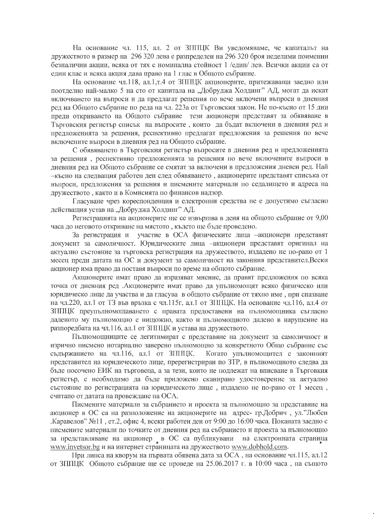На основание чл. 115, ал. 2 от ЗППЦК Ви уведомяваме, че капиталът на дружеството в размер на 296 320 лева е разпределен на 296 320 броя неделими поименни безналични акции, всяка от тях с номинална стойност 1 /един/ лев. Всички акции са от един клас и всяка акция дава право на 1 глас в Общото събрание.

На основание чл.118, ал.1,т.4 от ЗППЦК акционерите, притежаващи заедно или поотделно най-малко 5 на сто от капитала на "Добруджа Холдинг" АД, могат да искат включването на въпроси и да предлагат решения по вече включени въпроси в дневния ред на Общото събрание по реда на чл. 223а от Търговския закон. Не по-късно от 15 дни преди откриването на Общото събрание тези акционери представят за обявяване в Търговския регистър списък на въпросите, които да бъдат включени в дневния ред и предложенията за решения, респективно предлагат предложения за решения по вече включените въпроси в дневния ред на Общото събрание.

С обявяването в Търговския регистър въпросите в дневния ред и предложенията за решения, респективно предложенията за решения по вече включените въпроси в дневния ред на Общото събрание се смятат за включени в предложения дневен ред. Най -късно на следващия работен ден след обявяването, акционерите представят списъка от въпроси, предложения за решения и писмените материали по седалището и адреса на дружеството, както и в Комисията по финансов надзор.

Гласуване чрез кореспонденция и електронни средства не е допустимо съгласно действащия устав на "Добруджа Холдинг" АД.

Регистрацията на акционерите ще се извършва в деня на общото събрание от 9,00 часа до неговото откриване на мястото, където ще бъде проведено.

За регистрация и участие в ОСА физическите лица -акционери представят документ за самоличност. Юридическите лица -акционери представят оригинал на актуално състояние за търговска регистрация на дружеството, издадено не по-рано от 1 месец преди датата на ОС и документ за самоличност на законния представител.Всеки акционер има право да поставя въпроси по време на общото събрание.

Акционерите имат право да изразяват мнение, да правят предложения по всяка точка от дневния ред .Акционерите имат право да упълномощят всяко физическо или юридическо лице да участва и да гласува в общото събрание от тяхно име, при спазване на чл.220, ал.1 от ТЗ във връзка с чл.115г, ал.1 от ЗППЦК. На основание чл.116, ал.4 от ЗППЦК преупълномощаването с правата предоставени на пълномощника съгласно даденото му пълномощно е нищожно, както и пълномощното дадено в нарушение на разпоредбата на чл.116, ал.1 от ЗППЦК и устава на дружеството.

Пълномощниците се легитимират с представяне на документ за самоличност и изрично писмено нотариално заверено пълномощно за конкретното Общо събрание със съдържанието на чл.116, ал.1 от ЗППЦК. Когато упълномощител е законният представител на юридическото лице, пререгистриран по ЗТР, в пълномощното следва да бъде посочено ЕИК на търговеца, а за тези, които не подлежат на вписване в Търговкия регистър, е необходимо да бъде приложено сканирано удостоверение за актуално състояние по регистрацията на юридическото лице, издадено не по-рано от 1 месец, считано от датата на провеждане на ОСА.

Писмените материали за събранието и проекта за пълномощно за представяне на акционер в ОС са на разположение на акционерите на адрес-гр.Добрич, ул."Любен .Каравелов" №11, ет.2, офис 4, всеки работен ден от 9:00 до 16:00 часа. Поканата заедно с писмените материали по точките от дневния ред на събранието и проекта за пълномощно за представляване на акционер в ОС са публикувани на електронната страница www.invetsor.bg и на интернет страницата на дружеството www.dobhold.com.

При липса на кворум на първата обявена дата за ОСА, на основание чл.115, ал.12 от ЗППЦК Общото събрание ще се проведе на 25.06.2017 г. в 10:00 часа, на същото